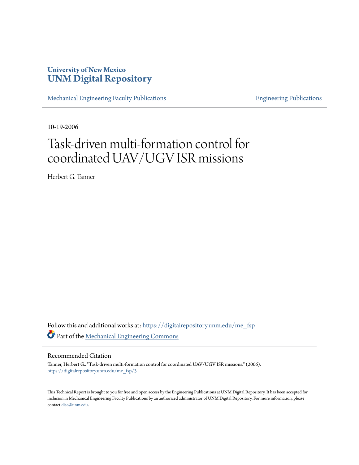# **University of New Mexico [UNM Digital Repository](https://digitalrepository.unm.edu?utm_source=digitalrepository.unm.edu%2Fme_fsp%2F3&utm_medium=PDF&utm_campaign=PDFCoverPages)**

[Mechanical Engineering Faculty Publications](https://digitalrepository.unm.edu/me_fsp?utm_source=digitalrepository.unm.edu%2Fme_fsp%2F3&utm_medium=PDF&utm_campaign=PDFCoverPages) **[Engineering Publications](https://digitalrepository.unm.edu/eng_fsp?utm_source=digitalrepository.unm.edu%2Fme_fsp%2F3&utm_medium=PDF&utm_campaign=PDFCoverPages)** Engineering Publications

10-19-2006

# Task-driven multi-formation control for coordinated UAV/UGV ISR missions

Herbert G. Tanner

Follow this and additional works at: [https://digitalrepository.unm.edu/me\\_fsp](https://digitalrepository.unm.edu/me_fsp?utm_source=digitalrepository.unm.edu%2Fme_fsp%2F3&utm_medium=PDF&utm_campaign=PDFCoverPages) Part of the [Mechanical Engineering Commons](http://network.bepress.com/hgg/discipline/293?utm_source=digitalrepository.unm.edu%2Fme_fsp%2F3&utm_medium=PDF&utm_campaign=PDFCoverPages)

## Recommended Citation

Tanner, Herbert G.. "Task-driven multi-formation control for coordinated UAV/UGV ISR missions." (2006). [https://digitalrepository.unm.edu/me\\_fsp/3](https://digitalrepository.unm.edu/me_fsp/3?utm_source=digitalrepository.unm.edu%2Fme_fsp%2F3&utm_medium=PDF&utm_campaign=PDFCoverPages)

This Technical Report is brought to you for free and open access by the Engineering Publications at UNM Digital Repository. It has been accepted for inclusion in Mechanical Engineering Faculty Publications by an authorized administrator of UNM Digital Repository. For more information, please contact [disc@unm.edu.](mailto:disc@unm.edu)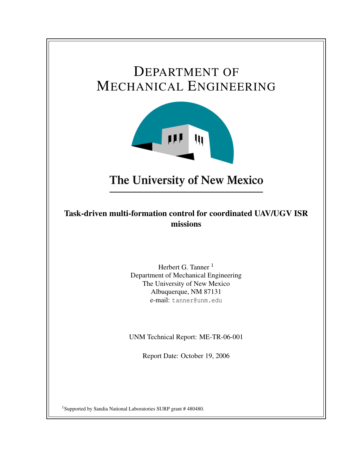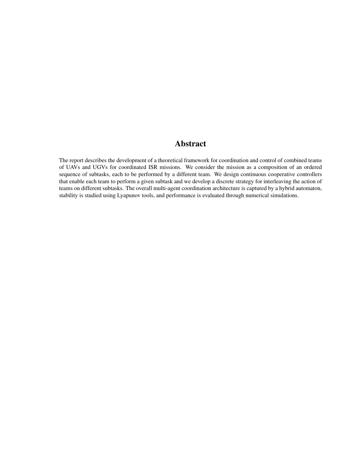# Abstract

The report describes the development of a theoretical framework for coordination and control of combined teams of UAVs and UGVs for coordinated ISR missions. We consider the mission as a composition of an ordered sequence of subtasks, each to be performed by a different team. We design continuous cooperative controllers that enable each team to perform a given subtask and we develop a discrete strategy for interleaving the action of teams on different subtasks. The overall multi-agent coordination architecture is captured by a hybrid automaton, stability is studied using Lyapunov tools, and performance is evaluated through numerical simulations.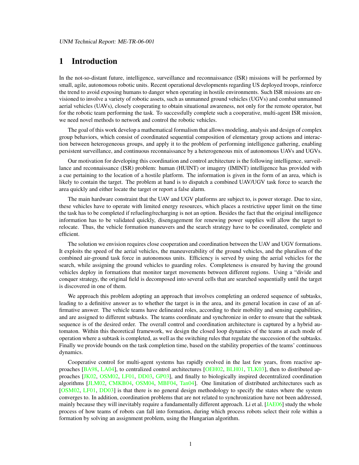# 1 Introduction

In the not-so-distant future, intelligence, surveillance and reconnaissance (ISR) missions will be performed by small, agile, autonomous robotic units. Recent operational developments regarding US deployed troops, reinforce the trend to avoid exposing humans to danger when operating in hostile environments. Such ISR missions are envisioned to involve a variety of robotic assets, such as unmanned ground vehicles (UGVs) and combat unmanned aerial vehicles (UAVs), closely cooperating to obtain situational awareness, not only for the remote operator, but for the robotic team performing the task. To successfully complete such a cooperative, multi-agent ISR mission, we need novel methods to network and control the robotic vehicles.

The goal of this work develop a mathematical formalism that allows modeling, analysis and design of complex group behaviors, which consist of coordinated sequential composition of elementary group actions and interaction between heterogeneous groups, and apply it to the problem of performing intelligence gathering, enabling persistent surveillance, and continuous reconnaissance by a heterogeneous mix of autonomous UAVs and UGVs.

Our motivation for developing this coordination and control architecture is the following intelligence, surveillance and reconnaissance (ISR) problem: human (HUINT) or imagery (IMINT) intelligence has provided with a cue pertaining to the location of a hostile platform. The information is given in the form of an area, which is likely to contain the target. The problem at hand is to dispatch a combined UAV/UGV task force to search the area quickly and either locate the target or report a false alarm.

The main hardware constraint that the UAV and UGV platforms are subject to, is power storage. Due to size, these vehicles have to operate with limited energy resources, which places a restrictive upper limit on the time the task has to be completed if refueling/recharging is not an option. Besides the fact that the original intelligence information has to be validated quickly, disengagement for renewing power supplies will allow the target to relocate. Thus, the vehicle formation maneuvers and the search strategy have to be coordinated, complete and efficient.

The solution we envision requires close cooperation and coordination between the UAV and UGV formations. It exploits the speed of the aerial vehicles, the maneuverability of the ground vehicles, and the pluralism of the combined air-ground task force in autonomous units. Efficiency is served by using the aerial vehicles for the search, while assigning the ground vehicles to guarding roles. Completeness is ensured by having the ground vehicles deploy in formations that monitor target movements between different regions. Using a "divide and conquer strategy, the original field is decomposed into several cells that are searched sequentially until the target is discovered in one of them.

We approach this problem adopting an approach that involves completing an ordered sequence of subtasks, leading to a definitive answer as to whether the target is in the area, and its general location in case of an affirmative answer. The vehicle teams have delineated roles, according to their mobility and sensing capabilities, and are assigned to different subtasks. The teams coordinate and synchronize in order to ensure that the subtask sequence is of the desired order. The overall control and coordination architecture is captured by a hybrid automaton. Within this theoretical framework, we design the closed loop dynamics of the teams at each mode of operation where a subtask is completed, as well as the switching rules that regulate the succession of the subtasks. Finally we provide bounds on the task completion time, based on the stability properties of the teams' continuous dynamics.

Cooperative control for multi-agent systems has rapidly evolved in the last few years, from reactive ap-proaches [\[BA98,](#page-16-0) [LA04\]](#page-16-1), to centralized control architectures [\[OEH02,](#page-17-0) [BLH01,](#page-16-2) [TLK03\]](#page-18-0), then to distributed approaches [\[JK02,](#page-16-3) [OSM02,](#page-17-1) [LF01,](#page-17-2) [DD03,](#page-16-4) [GP03\]](#page-16-5), and finally to biologically inspired decentralized coordination algorithms [\[JLM02,](#page-16-6) [CMKB04,](#page-16-7) [OSM04,](#page-17-3) [MBF04,](#page-17-4) [Tan04\]](#page-17-5). One limitation of distributed architectures such as [\[OSM02,](#page-17-1) [LF01,](#page-17-2) [DD03\]](#page-16-4) is that there is no general design methodology to specify the states where the system converges to. In addition, coordination problems that are not related to synchronization have not been addressed, mainly because they will inevitably require a fundamentally different approach. Li et al. [\[JAE06\]](#page-16-8) study the whole process of how teams of robots can fall into formation, during which process robots select their role within a formation by solving an assignment problem, using the Hungarian algorithm.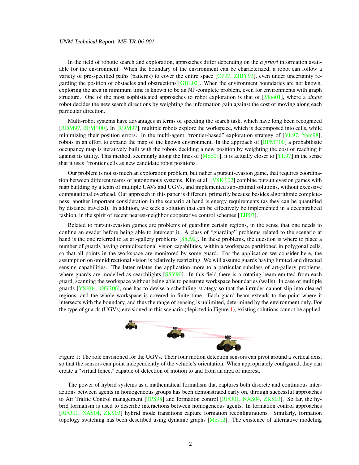#### UNM Technical Report: ME-TR-06-001

In the field of robotic search and exploration, approaches differ depending on the *a priori* information available for the environment. When the boundary of the environment can be characterized, a robot can follow a variety of pre-specified paths (patterns) to cover the entire space [\[CP97,](#page-16-9) [ZJBY93\]](#page-18-1), even under uncertainty re-garding the position of obstacles and obstructions [\[GBL02\]](#page-16-10). When the environment boundaries are not known, exploring the area in minimum time is known to be an NP-complete problem, even for environments with graph structure. One of the most sophisticated approaches to robot exploration is that of [\[Moo01\]](#page-17-6), where a *single* robot decides the new search directions by weighting the information gain against the cost of moving along each particular direction.

Multi-robot systems have advantages in terms of speeding the search task, which have long been recognized [\[RDM97,](#page-17-7) [BFM](#page-16-11)+00]. In [\[RDM97\]](#page-17-7), multiple robots explore the workspace, which is decomposed into cells, while minimizing their position errors. In the multi-agent "frontier-based" exploration strategy of [\[YL97,](#page-18-2) [Yam98\]](#page-18-3), robots in an effort to expand the map of the known environment. In the approach of  $[BFM<sup>+</sup>00]$  $[BFM<sup>+</sup>00]$  a probabilistic occupancy map is iteratively built with the robots deciding a new position by weighting the cost of reaching it against its utility. This method, seemingly along the lines of  $[Moo01]$ , it is actually closer to  $[YL97]$  in the sense that it uses "frontier cells as new candidate robot positions.

Our problem is not so much an exploration problem, but rather a pursuit-evasion game, that requires coordination between different teams of autonomous systems. Kim et al.  $[VSK<sup>+</sup>02]$  $[VSK<sup>+</sup>02]$  combine pursuit evasion games with map building by a team of multiple UAVs and UGVs, and implemented sub-optimal solutions, without excessive computational overhead. Our approach in this paper is different, primarily because besides algorithmic completeness, another important consideration in the scenario at hand is energy requirements (as they can be quantified by distance traveled). In addition, we seek a solution that can be effectively be implemented in a decentralized fashion, in the spirit of recent nearest-neighbor cooperative control schemes [\[TJP03\]](#page-18-5).

Related to pursuit-evasion games are problems of guarding certain regions, in the sense that one needs to confine an evader before being able to intercept it. A class of "guarding" problems related to the scenario at hand is the one referred to as art-gallery problems [\[She92\]](#page-17-8). In these problems, the question is where to place a number of guards having omnidirectional vision capabilities, within a workspace partitioned in polygonal cells, so that all points in the workspace are monitored by some guard. For the application we consider here, the assumption on omnidirectional vision is relatively restricting. We will assume guards having limited and directed sensing capabilities. The latter relates the application more to a particular subclass of art-gallery problems, where guards are modelled as searchlights [\[SSY90\]](#page-17-9). In this field there is a rotating beam emitted from each guard, scanning the workspace without being able to penetrate workspace boundaries (walls). In case of multiple guards [\[YSK04,](#page-18-6) [OGB06\]](#page-17-10), one has to devise a scheduling strategy so that the intruder cannot slip into cleared regions, and the whole workspace is covered in finite time. Each guard beam extends to the point where it intersects with the boundary, and thus the range of sensing is unlimited, determined by the environment only. For the type of guards (UGVs) envisioned in this scenario (depicted in Figure [1\)](#page-4-0), existing solutions cannot be applied.



<span id="page-4-0"></span>Figure 1: The role envisioned for the UGVs. Their four motion detection sensors can pivot around a vertical axis, so that the sensors can point independently of the vehicle's orientation. When appropriately configured, they can create a "virtual fence," capable of detection of motion to and from an area of interest.

The power of hybrid systems as a mathematical formalism that captures both discrete and continuous interactions between agents in homogeneous groups has been demonstrated early on, through successful approaches to Air Traffic Control management [\[TPS98\]](#page-18-7) and formation control [\[RFO01,](#page-17-11) [NAS04,](#page-17-12) [ZKS03\]](#page-18-8). So far, the hybrid formalism is used to describe interactions between homogeneous agents. In formation control approaches [\[RFO01,](#page-17-11) [NAS04,](#page-17-12) [ZKS03\]](#page-18-8) hybrid mode transitions capture formation reconfigurations. Similarly, formation topology switching has been described using dynamic graphs [\[Mes02\]](#page-17-13). The existence of alternative modeling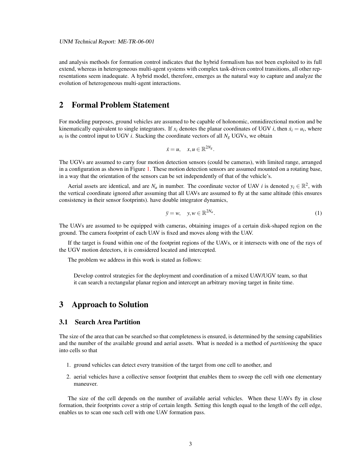and analysis methods for formation control indicates that the hybrid formalism has not been exploited to its full extend, whereas in heterogeneous multi-agent systems with complex task-driven control transitions, all other representations seem inadequate. A hybrid model, therefore, emerges as the natural way to capture and analyze the evolution of heterogeneous multi-agent interactions.

# 2 Formal Problem Statement

For modeling purposes, ground vehicles are assumed to be capable of holonomic, omnidirectional motion and be kinematically equivalent to single integrators. If  $x_i$  denotes the planar coordinates of UGV *i*, then  $\dot{x}_i = u_i$ , where  $u_i$  is the control input to UGV *i*. Stacking the coordinate vectors of all  $N_g$  UGVs, we obtain

$$
\dot{x}=u,\quad x,u\in\mathbb{R}^{2N_g}.
$$

The UGVs are assumed to carry four motion detection sensors (could be cameras), with limited range, arranged in a configuration as shown in Figure [1.](#page-4-0) These motion detection sensors are assumed mounted on a rotating base, in a way that the orientation of the sensors can be set independently of that of the vehicle's.

Aerial assets are identical, and are  $N_a$  in number. The coordinate vector of UAV *i* is denoted  $y_i \in \mathbb{R}^2$ , with the vertical coordinate ignored after assuming that all UAVs are assumed to fly at the same altitude (this ensures consistency in their sensor footprints). have double integrator dynamics,

<span id="page-5-1"></span>
$$
\ddot{y} = w, \quad y, w \in \mathbb{R}^{2N_a}.\tag{1}
$$

The UAVs are assumed to be equipped with cameras, obtaining images of a certain disk-shaped region on the ground. The camera footprint of each UAV is fixed and moves along with the UAV.

If the target is found within one of the footprint regions of the UAVs, or it intersects with one of the rays of the UGV motion detectors, it is considered located and intercepted.

The problem we address in this work is stated as follows:

Develop control strategies for the deployment and coordination of a mixed UAV/UGV team, so that it can search a rectangular planar region and intercept an arbitrary moving target in finite time.

# 3 Approach to Solution

## <span id="page-5-0"></span>3.1 Search Area Partition

The size of the area that can be searched so that completeness is ensured, is determined by the sensing capabilities and the number of the available ground and aerial assets. What is needed is a method of *partitioning* the space into cells so that

- 1. ground vehicles can detect every transition of the target from one cell to another, and
- 2. aerial vehicles have a collective sensor footprint that enables them to sweep the cell with one elementary maneuver.

The size of the cell depends on the number of available aerial vehicles. When these UAVs fly in close formation, their footprints cover a strip of certain length. Setting this length equal to the length of the cell edge, enables us to scan one such cell with one UAV formation pass.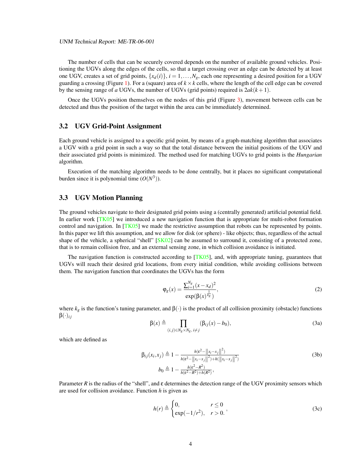The number of cells that can be securely covered depends on the number of available ground vehicles. Positioning the UGVs along the edges of the cells, so that a target crossing over an edge can be detected by at least one UGV, creates a set of grid points,  $\{x_d(i)\}\$ ,  $i = 1, \ldots, N_g$ , each one representing a desired position for a UGV guarding a crossing (Figure [1\)](#page-4-0). For a (square) area of  $k \times k$  cells, where the length of the cell edge can be covered by the sensing range of *a* UGVs, the number of UGVs (grid points) required is  $2ak(k+1)$ .

Once the UGVs position themselves on the nodes of this grid (Figure [3\)](#page-11-0), movement between cells can be detected and thus the position of the target within the area can be immediately determined.

#### 3.2 UGV Grid-Point Assignment

Each ground vehicle is assigned to a specific grid point, by means of a graph-matching algorithm that associates a UGV with a grid point in such a way so that the total distance between the initial positions of the UGV and their associated grid points is minimized. The method used for matching UGVs to grid points is the *Hungarian* algorithm.

Execution of the matching algorithm needs to be done centrally, but it places no significant computational burden since it is polynomial time  $(O(N^3))$ .

## <span id="page-6-2"></span>3.3 UGV Motion Planning

The ground vehicles navigate to their designated grid points using a (centrally generated) artificial potential field. In earlier work [\[TK05\]](#page-18-9) we introduced a new navigation function that is appropriate for multi-robot formation control and navigation. In [\[TK05\]](#page-18-9) we made the restrictive assumption that robots can be represented by points. In this paper we lift this assumption, and we allow for disk (or sphere) - like objects; thus, regardless of the actual shape of the vehicle, a spherical "shell" [\[SK02\]](#page-17-14) can be assumed to surround it, consisting of a protected zone, that is to remain collision free, and an external sensing zone, in which collision avoidance is initiated.

The navigation function is constructed according to  $[TK05]$ , and, with appropriate tuning, guarantees that UGVs will reach their desired grid locations, from every initial condition, while avoiding collisions between them. The navigation function that coordinates the UGVs has the form

<span id="page-6-1"></span>
$$
\varphi_g(x) = \frac{\sum_{i=1}^{N_g} (x - x_d)^2}{\exp(\beta(x)^{\frac{1}{k_g}})},
$$
\n(2)

<span id="page-6-0"></span>where  $k_g$  is the function's tuning parameter, and  $\beta(\cdot)$  is the product of all collision proximity (obstacle) functions  $\beta(\cdot)_{ij}$ 

$$
\beta(x) \triangleq \prod_{(i,j)\in N_g \times N_g, i \neq j} (\beta_{ij}(x) - b_0),
$$
\n(3a)

which are defined as

$$
\beta_{ij}(x_i, x_j) \triangleq 1 - \frac{h(\varepsilon^2 - ||x_i - x_j||^2)}{h(\varepsilon^2 - ||x_i - x_j||^2) + h(||x_i - x_j||^2)}
$$
\n
$$
b_0 \triangleq 1 - \frac{h(\varepsilon^2 - R^2)}{h(\varepsilon^2 - R^2) + h(R^2)},
$$
\n(3b)

Parameter *R* is the radius of the "shell", and  $\varepsilon$  determines the detection range of the UGV proximity sensors which are used for collision avoidance. Function *h* is given as

$$
h(r) \triangleq \begin{cases} 0, & r \le 0 \\ \exp(-1/r^2), & r > 0. \end{cases}
$$
 (3c)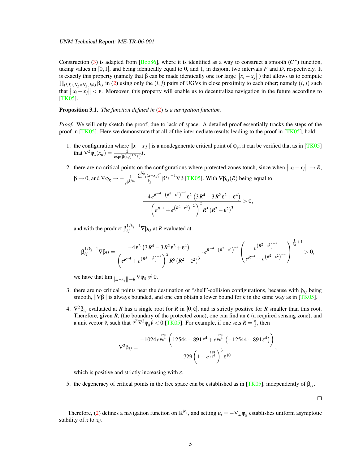#### UNM Technical Report: ME-TR-06-001

Construction [\(3\)](#page-6-0) is adapted from [\[Boo86\]](#page-16-12), where it is identified as a way to construct a smooth  $(C^{\infty})$  function, taking values in [0,1], and being identically equal to 0, and 1, in disjoint two intervals *F* and *D*, respectively. It is exactly this property (namely that  $\beta$  can be made identically one for large  $||x_i - x_j||$ ) that allows us to compute  $\prod_{(i,j)\in N_g\times N_g, i\neq j}$   $\beta_{ij}$  in [\(2\)](#page-6-1) using only the  $(i,j)$  pairs of UGVs in close proximity to each other; namely  $(i,j)$  such that  $||x_i - x_j|| < \varepsilon$ . Moreover, this property will enable us to decentralize navigation in the future according to [\[TK05\]](#page-18-9).

#### Proposition 3.1. *The function defined in* [\(2\)](#page-6-1) *is a navigation function.*

*Proof.* We will only sketch the proof, due to lack of space. A detailed proof essentially tracks the steps of the proof in  $[TK05]$ . Here we demonstrate that all of the intermediate results leading to the proof in  $[TK05]$ , hold:

- 1. the configuration where  $||x-x_d||$  is a nondegenerate critical point of  $φ_g$ ; it can be verified that as in [\[TK05\]](#page-18-9) that  $\nabla^2 \varphi_x(x_d) = \frac{2}{\exp(\beta(x_d)^{1/kg})} I$ .
- 2. there are no critical points on the configurations where protected zones touch, since when  $||x_i x_j|| \rightarrow R$ ,

$$
\beta \to 0, \text{ and } \nabla \varphi_g \to -\frac{1}{e^{\beta^{1/k_g}}} \frac{\sum_{i=1}^{N_g} (x - x_d)^2}{k_g} \beta^{\frac{1}{k_g} - 1} \nabla \beta \text{ [TK05]. With } \nabla \beta_{ij}(R) \text{ being equal to}
$$
\n
$$
\frac{-4 e^{R^{-4} + (R^2 - \varepsilon^2)^{-2}} \varepsilon^2 (3R^4 - 3R^2 \varepsilon^2 + \varepsilon^4)}{\left(e^{R^{-4} + e^{\left(R^2 - \varepsilon^2\right)^{-2}}\right)^2 R^5 (R^2 - \varepsilon^2)^3} > 0,
$$

and with the product  $\beta_{ij}^{1/k_g-1} \nabla \beta_{ij}$  at *R* evaluated at

$$
\beta_{ij}^{1/k_g-1} \nabla \beta_{ij} = \frac{-4 \epsilon^2 (3R^4 - 3R^2 \epsilon^2 + \epsilon^4)}{\left(e^{R-4} + e^{(R^2 - \epsilon^2)^{-2}}\right)^2 R^5 (R^2 - \epsilon^2)^3} \cdot e^{R^{-4} - (R^2 - \epsilon^2)^{-2}} \left(\frac{e^{(R^2 - \epsilon^2)^{-2}}}{e^{R^{-4} + e^{(R^2 - \epsilon^2)^{-2}}}}\right)^{\frac{1}{k_g}+1} > 0,
$$

we have that  $\lim_{\|x_i-x_j\| \to R} \nabla \varphi_g \neq 0$ .

- 3. there are no critical points near the destination or "shell"-collision configurations, because with  $\beta_{ij}$  being smooth,  $\|\nabla \beta\|$  is always bounded, and one can obtain a lower bound for *k* in the same way as in [\[TK05\]](#page-18-9).
- 4.  $\nabla^2 \beta_{ij}$  evaluated at *R* has a single root for *R* in [0, ε], and is strictly positive for *R* smaller than this root. Therefore, given  $R$ , (the boundary of the protected zone), one can find an  $\varepsilon$  (a required sensing zone), and a unit vector  $\hat{v}$ , such that  $\hat{v}^T \nabla^2 \varphi_g \hat{v} < 0$  [\[TK05\]](#page-18-9). For example, if one sets  $R = \frac{\epsilon}{2}$ , then

$$
\nabla^2 \beta_{ij} = \frac{-1024 e^{\frac{128}{9\epsilon^4}} \left( 12544 + 891 \epsilon^4 + e^{\frac{128}{9\epsilon^4}} \left( -12544 + 891 \epsilon^4 \right) \right)}{729 \left( 1 + e^{\frac{128}{9\epsilon^4}} \right)^3 \epsilon^{10}},
$$

which is positive and strictly increasing with ε.

5. the degeneracy of critical points in the free space can be established as in [\[TK05\]](#page-18-9), independently of  $β<sub>ij</sub>$ .

 $\Box$ 

Therefore, [\(2\)](#page-6-1) defines a navigation function on  $\mathbb{R}^{N_g}$ , and setting  $u_i = -\nabla_{x_i} \varphi_g$  establishes uniform asymptotic stability of *x* to *xd*.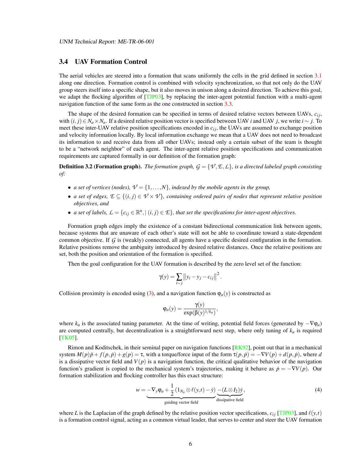## 3.4 UAV Formation Control

The aerial vehicles are steered into a formation that scans uniformly the cells in the grid defined in section [3.1](#page-5-0) along one direction. Formation control is combined with velocity synchronization, so that not only do the UAV group steers itself into a specific shape, but it also moves in unison along a desired direction. To achieve this goal, we adapt the flocking algorithm of [\[TJP03\]](#page-18-5), by replacing the inter-agent potential function with a multi-agent navigation function of the same form as the one constructed in section [3.3.](#page-6-2)

The shape of the desired formation can be specified in terms of desired relative vectors between UAVs,  $c_{ij}$ , with  $(i, j) \in N_a \times N_a$ . If a desired relative position vector is specified between UAV *i* and UAV *j*, we write  $i \sim j$ . To meet these inter-UAV relative position specifications encoded in  $c_{ij}$ , the UAVs are assumed to exchange position and velocity information locally. By local information exchange we mean that a UAV does not need to broadcast its information to and receive data from all other UAVs; instead only a certain subset of the team is thought to be a "network neighbor" of each agent. The inter-agent relative position specifications and communication requirements are captured formally in our definition of the formation graph:

**Definition 3.2 (Formation graph).** *The formation graph,*  $G = \{ \mathcal{V}, \mathcal{E}, \mathcal{L} \}$ *, is a directed labeled graph consisting of:*

- *a set of vertices (nodes),*  $V = \{1, ..., N\}$ *, indexed by the mobile agents in the group,*
- *a set of edges,*  $\mathcal{E} \subseteq \{(i,j) \in \mathcal{V} \times \mathcal{V}\}\$ , containing ordered pairs of nodes that represent relative position *objectives, and*
- *a set of labels,*  $L = \{c_{ij} \in \mathbb{R}^n, | (i, j) \in \mathcal{E}\}$ , that set the specifications for inter-agent objectives.

Formation graph edges imply the existence of a constant bidirectional communication link between agents, because systems that are unaware of each other's state will not be able to coordinate toward a state-dependent common objective. If *G* is (weakly) connected, all agents have a specific desired configuration in the formation. Relative positions remove the ambiguity introduced by desired relative distances. Once the relative positions are set, both the position and orientation of the formation is specified.

Then the goal configuration for the UAV formation is described by the zero level set of the function:

$$
\gamma(y) = \sum_{i \sim j} ||y_i - y_j - c_{ij}||^2.
$$

Collision proximity is encoded using [\(3\)](#page-6-0), and a navigation function  $\varphi_a(y)$  is constructed as

$$
\varphi_a(y) = \frac{\gamma(y)}{\exp(\beta(y)^{1/k_a})},
$$

where  $k_a$  is the associated tuning parameter. At the time of writing, potential field forces (generated by  $-\nabla \varphi_a$ ) are computed centrally, but decentralization is a straightforward next step, where only tuning of  $k_a$  is required [\[TK05\]](#page-18-9).

Rimon and Koditschek, in their seminal paper on navigation functions [\[RK92\]](#page-17-15), point out that in a mechanical system  $M(p)\ddot{p} + f(p, \dot{p}) + g(p) = \tau$ , with a torque/force input of the form  $\tau(p, \dot{p}) = -\nabla V(p) + d(p, \dot{p})$ , where *d* is a dissipative vector field and  $V(p)$  is a navigation function, the critical qualitative behavior of the navigation function's gradient is copied to the mechanical system's trajectories, making it behave as  $\dot{p} = -\nabla V(p)$ . Our formation stabilization and flocking controller has this exact structure:

<span id="page-8-0"></span>
$$
w = -\nabla_y \varphi_a + \frac{1}{2} \left( 1_{N_a} \otimes \ell(y, t) - \dot{y} \right) \underbrace{- (L \otimes I_2) \dot{y}}_{\text{dissipative field}},
$$
\n(4)

where *L* is the Laplacian of the graph defined by the relative position vector specifications,  $c_{ij}$  [\[TJP03\]](#page-18-5), and  $\ell(y,t)$ is a formation control signal, acting as a common virtual leader, that serves to center and steer the UAV formation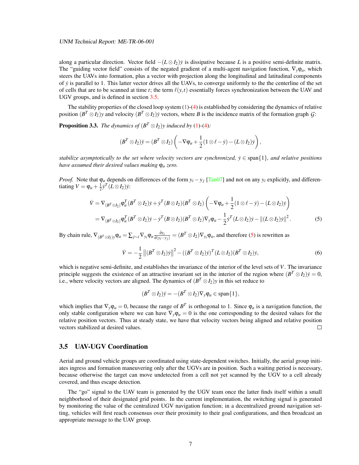along a particular direction. Vector field  $-(L \otimes I_2)\dot{y}$  is dissipative because *L* is a positive semi-definite matrix. The "guiding vector field" consists of the negated gradient of a multi-agent navigation function,  $\nabla_{\mathbf{v}}\varphi_a$ , which steers the UAVs into formation, plus a vector with projection along the longitudinal and latitudinal components of ˙*y* is parallel to 1. This latter vector drives all the UAVs, to converge uniformly to the the centerline of the set of cells that are to be scanned at time *t*; the term  $\ell(y,t)$  essentially forces synchronization between the UAV and UGV groups, and is defined in section [3.5.](#page-9-0)

The stability properties of the closed loop system  $(1)-(4)$  $(1)-(4)$  $(1)-(4)$  is established by considering the dynamics of relative position  $(B^T \otimes I_2)y$  and velocity  $(B^T \otimes I_2)y$  vectors, where *B* is the incidence matrix of the formation graph *G*:

**Proposition 3.3.** *The dynamics of*  $(B^T \otimes I_2)y$  *induced by* [\(1\)](#page-5-1)-[\(4\)](#page-8-0):

$$
(B^T \otimes I_2)\ddot{y} = (B^T \otimes I_2) \left( -\nabla \varphi_a + \frac{1}{2}(1 \otimes \ell - \dot{y}) - (L \otimes I_2)\dot{y} \right),
$$

*stabilize asymptotically to the set where velocity vectors are synchronized,*  $\dot{y} \in \text{span}\{1\}$ *, and relative positions have assumed their desired values making* ϕ*<sup>a</sup> zero.*

*Proof.* Note that  $\varphi_a$  depends on differences of the form  $y_i - y_j$  [\[Tan07\]](#page-17-16) and not on any  $y_i$  explicitly, and differentiating  $V = \varphi_a + \frac{1}{2} \dot{y}^T (L \otimes I_2) \dot{y}$ :

$$
\dot{V} = \nabla_{(B^T \otimes I_2)} \varphi_a^T (B^T \otimes I_2) \dot{y} + \dot{y}^T (B \otimes I_2) (B^T \otimes I_2) \left( -\nabla \varphi_a + \frac{1}{2} (1 \otimes \ell - \dot{y}) - (L \otimes I_2) \dot{y} \right)
$$
  
\n
$$
= \nabla_{(B^T \otimes I_2)} \varphi_a^T (B^T \otimes I_2) \dot{y} - \dot{y}^T (B \otimes I_2) (B^T \otimes I_2) \nabla_y \varphi_a - \frac{1}{2} \dot{y}^T (L \otimes I_2) \dot{y} - ||(L \otimes I_2) \dot{y}||^2.
$$
 (5)

By chain rule,  $\nabla_{(B^T\otimes I_2)y}\varphi_a = \sum_{j\sim i}\nabla_{y_i}\varphi_a \frac{\partial y_i}{\partial (y_i-y_j)} = (B^T\otimes I_2)\nabla_{y_i}\varphi_a$ , and therefore [\(5\)](#page-9-1) is rewritten as

$$
\dot{V} = -\frac{1}{2} \left\| (B^T \otimes I_2) \dot{y} \right\|^2 - ((B^T \otimes I_2) \dot{y})^T (L \otimes I_2) (B^T \otimes I_2) \dot{y},\tag{6}
$$

which is negative semi-definite, and establishes the invariance of the interior of the level sets of *V*. The invariance principle suggests the existence of an attractive invariant set in the interior of the region where  $(B^T \otimes I_2)y = 0$ , i.e., where velocity vectors are aligned. The dynamics of  $(B^T \otimes I_2)y$  in this set reduce to

<span id="page-9-2"></span><span id="page-9-1"></span>
$$
(B^T \otimes I_2)\ddot{y} = -(B^T \otimes I_2)\nabla_y \varphi_a \in \text{span}\{1\},\
$$

which implies that  $\nabla_y \varphi_a = 0$ , because the range of  $B^T$  is orthogonal to 1. Since  $\varphi_a$  is a navigation function, the only stable configuration where we can have  $\nabla_{\mathbf{v}}\varphi_a = 0$  is the one corresponding to the desired values for the relative position vectors. Thus at steady state, we have that velocity vectors being aligned and relative position vectors stabilized at desired values.  $\Box$ 

## <span id="page-9-0"></span>3.5 UAV-UGV Coordination

Aerial and ground vehicle groups are coordinated using state-dependent switches. Initially, the aerial group initiates ingress and formation maneuvering only after the UGVs are in position. Such a waiting period is necessary, because otherwise the target can move undetected from a cell not yet scanned by the UGV to a cell already covered, and thus escape detection.

The "go" signal to the UAV team is generated by the UGV team once the latter finds itself within a small neighborhood of their designated grid points. In the current implementation, the switching signal is generated by monitoring the value of the centralized UGV navigation function; in a decentralized ground navigation setting, vehicles will first reach consensus over their proximity to their goal configurations, and then broadcast an appropriate message to the UAV group.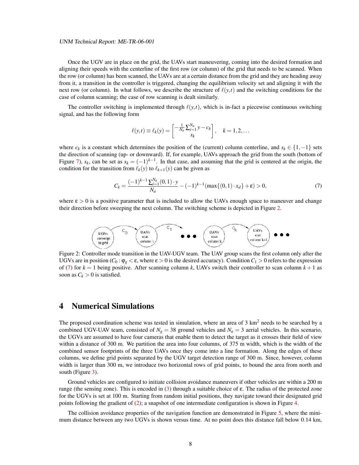#### UNM Technical Report: ME-TR-06-001

Once the UGV are in place on the grid, the UAVs start maneuvering, coming into the desired formation and aligning their speeds with the centerline of the first row (or column) of the grid that needs to be scanned. When the row (or column) has been scanned, the UAVs are at a certain distance from the grid and they are heading away from it, a transition in the controller is triggered, changing the equilibrium velocity set and aligning it with the next row (or column). In what follows, we describe the structure of  $\ell(y,t)$  and the switching conditions for the case of column scanning; the case of row scanning is dealt similarly.

The controller switching is implemented through  $\ell(y,t)$ , which is in-fact a piecewise continuous switching signal, and has the following form

<span id="page-10-1"></span>
$$
\ell(y,t) \equiv \ell_k(y) = \begin{bmatrix} -\frac{1}{N_a} \sum_{i=1}^{N_a} y - c_k \ s_k \end{bmatrix}, \quad k = 1, 2, \dots
$$

where  $c_k$  is a constant which determines the position of the (current) column centerline, and  $s_k \in \{1, -1\}$  sets the direction of scanning (up- or downward). If, for example, UAVs approach the grid from the south (bottom of Figure [7\)](#page-14-0),  $s_k$ , can be set as  $s_k = (-1)^{k-1}$ . In that case, and assuming that the grid is centered at the origin, the condition for the transition from  $\ell_k(y)$  to  $\ell_{k+1}(y)$  can be given as

$$
C_k = \frac{(-1)^{k-1} \sum_{i=1}^{N_a} (0,1) \cdot y}{N_a} - (-1)^{k-1} (\max\{(0,1) \cdot x_d\} + \varepsilon) > 0,
$$
 (7)

where  $\varepsilon > 0$  is a positive parameter that is included to allow the UAVs enough space to maneuver and change their direction before sweeping the next column. The switching scheme is depicted in Figure [2.](#page-10-0)



<span id="page-10-0"></span>Figure 2: Controller mode transition in the UAV-UGV team. The UAV group scans the first column only after the UGVs are in position  $(C_0 : \varphi_g < \varepsilon$ , where  $\varepsilon > 0$  is the desired accuracy). Condition  $C_1 > 0$  refers to the expression of [\(7\)](#page-10-1) for  $k = 1$  being positive. After scanning column k, UAVs switch their controller to scan column  $k + 1$  as soon as  $C_k > 0$  is satisfied.

## 4 Numerical Simulations

The proposed coordination scheme was tested in simulation, where an area of  $3 \text{ km}^2$  needs to be searched by a combined UGV-UAV team, consisted of  $N_g = 38$  ground vehicles and  $N_a = 3$  aerial vehicles. In this scenario, the UGVs are assumed to have four cameras that enable them to detect the target as it crosses their field of view within a distance of 300 m. We partition the area into four columns, of 375 m width, which is the width of the combined sensor footprints of the three UAVs once they come into a line formation. Along the edges of these columns, we define grid points separated by the UGV target detection range of 300 m. Since, however, column width is larger than 300 m, we introduce two horizontal rows of grid points, to bound the area from north and south (Figure [3\)](#page-11-0).

Ground vehicles are configured to initiate collision avoidance maneuvers if other vehicles are within a 200 m range (the sensing zone). This is encoded in [\(3\)](#page-6-0) through a suitable choice of  $\varepsilon$ . The radius of the protected zone for the UGVs is set at 100 m. Starting from random initial positions, they navigate toward their designated grid points following the gradient of [\(2\)](#page-6-1); a snapshot of one intermediate configuration is shown in Figure [4.](#page-12-0)

The collision avoidance properties of the navigation function are demonstrated in Figure [5,](#page-12-1) where the minimum distance between any two UGVs is shown versus time. At no point does this distance fall below 0.14 km,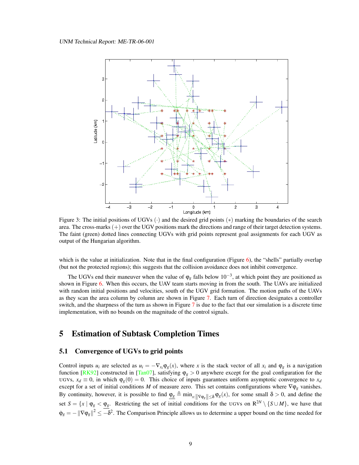

<span id="page-11-0"></span>Figure 3: The initial positions of UGVs  $(\cdot)$  and the desired grid points  $(*)$  marking the boundaries of the search area. The cross-marks  $(+)$  over the UGV positions mark the directions and range of their target detection systems. The faint (green) dotted lines connecting UGVs with grid points represent goal assignments for each UGV as output of the Hungarian algorithm.

which is the value at initialization. Note that in the final configuration (Figure [6\)](#page-13-0), the "shells" partially overlap (but not the protected regions); this suggests that the collision avoidance does not inhibit convergence.

The UGVs end their maneuver when the value of  $\varphi_g$  falls below 10<sup>-3</sup>, at which point they are positioned as shown in Figure [6.](#page-13-0) When this occurs, the UAV team starts moving in from the south. The UAVs are initialized with random initial positions and velocities, south of the UGV grid formation. The motion paths of the UAVs as they scan the area column by column are shown in Figure [7.](#page-14-0) Each turn of direction designates a controller switch, and the sharpness of the turn as shown in Figure [7](#page-14-0) is due to the fact that our simulation is a discrete time implementation, with no bounds on the magnitude of the control signals.

# 5 Estimation of Subtask Completion Times

## 5.1 Convergence of UGVs to grid points

Control inputs  $u_i$  are selected as  $u_i = -\nabla_{x_i} \varphi_g(x)$ , where *x* is the stack vector of all  $x_i$  and  $\varphi_g$  is a navigation function [\[RK92\]](#page-17-15) constructed in [\[Tan07\]](#page-17-16), satisfying  $\varphi_g > 0$  anywhere except for the goal configuration for the UGVs,  $x_d \equiv 0$ , in which  $\varphi_g(0) = 0$ . This choice of inputs guarantees uniform asymptotic convergence to  $x_d$ except for a set of initial conditions *M* of measure zero. This set contains configurations where  $\nabla \phi_g$  vanishes. By continuity, however, it is possible to find  $\underline{\varphi_g} \triangleq \min_{x: ||\nabla \varphi_g|| \leq \delta} \varphi_g(x)$ , for some small  $\delta > 0$ , and define the set  $S = \{x \mid \varphi_g < \varphi_g\}$ . Restricting the set of initial conditions for the UGVs on  $R^{2N} \setminus \{S \cup M\}$ , we have that  $\phi_g = -\|\nabla \phi_g\|^2 \leq -\delta^2$ . The Comparison Principle allows us to determine a upper bound on the time needed for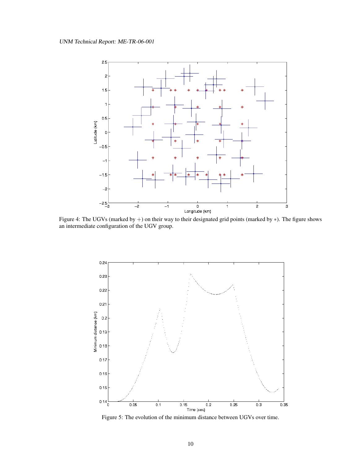

<span id="page-12-0"></span>Figure 4: The UGVs (marked by +) on their way to their designated grid points (marked by ∗). The figure shows an intermediate configuration of the UGV group.



<span id="page-12-1"></span>Figure 5: The evolution of the minimum distance between UGVs over time.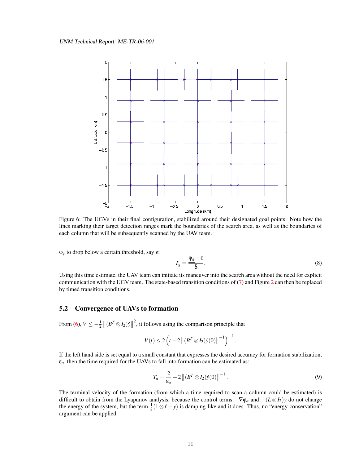

<span id="page-13-0"></span>Figure 6: The UGVs in their final configuration, stabilized around their designated goal points. Note how the lines marking their target detection ranges mark the boundaries of the search area, as well as the boundaries of each column that will be subsequently scanned by the UAV team.

 $\varphi_g$  to drop below a certain threshold, say  $\varepsilon$ :

$$
T_g = \frac{\varphi_g - \varepsilon}{\delta}.
$$
\n(8)

Using this time estimate, the UAV team can initiate its maneuver into the search area without the need for explicit communication with the UGV team. The state-based transition conditions of [\(7\)](#page-10-1) and Figure [2](#page-10-0) can then be replaced by timed transition conditions.

## 5.2 Convergence of UAVs to formation

From [\(6\)](#page-9-2),  $\dot{V} \le -\frac{1}{2} ||(B^T \otimes I_2)\dot{y}||$  $2<sup>2</sup>$ , it follows using the comparison principle that

$$
V(t) \leq 2\left(t + 2 ||(B^T \otimes I_2)\dot{y}(0)||^{-1}\right)^{-1}.
$$

If the left hand side is set equal to a small constant that expresses the desired accuracy for formation stabilization,  $\varepsilon_a$ , then the time required for the UAVs to fall into formation can be estimated as:

<span id="page-13-1"></span>
$$
T_a = \frac{2}{\varepsilon_a} - 2 \left\| (B^T \otimes I_2) \dot{y}(0) \right\|^{-1}.
$$
\n(9)

The terminal velocity of the formation (from which a time required to scan a column could be estimated) is difficult to obtain from the Lyapunov analysis, because the control terms −∇ϕ*<sup>a</sup>* and −(*L* ⊗ *I*2)*y*˙ do not change the energy of the system, but the term  $\frac{1}{2}(1 \otimes \ell - \dot{y})$  is damping-like and it does. Thus, no "energy-conservation" argument can be applied.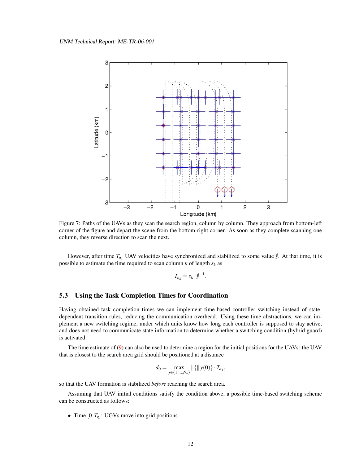

<span id="page-14-0"></span>Figure 7: Paths of the UAVs as they scan the search region, column by column. They approach from bottom-left corner of the figure and depart the scene from the bottom-right corner. As soon as they complete scanning one column, they reverse direction to scan the next.

However, after time  $T_{a_1}$  UAV velocities have synchronized and stabilized to some value  $\dot{y}$ . At that time, it is possible to estimate the time required to scan column *k* of length *s<sup>k</sup>* as

$$
T_{a_k} = s_k \cdot \dot{\bar{y}}^{-1}.
$$

## 5.3 Using the Task Completion Times for Coordination

Having obtained task completion times we can implement time-based controller switching instead of statedependent transition rules, reducing the communication overhead. Using these time abstractions, we can implement a new switching regime, under which units know how long each controller is supposed to stay active, and does not need to communicate state information to determine whether a switching condition (hybrid guard) is activated.

The time estimate of [\(9\)](#page-13-1) can also be used to determine a region for the initial positions for the UAVs: the UAV that is closest to the search area grid should be positioned at a distance

$$
d_0 = \max_{j \in \{1, ..., N_a\}} \|\{\|\dot{y}(0)\} \cdot T_{a_1},
$$

so that the UAV formation is stabilized *before* reaching the search area.

Assuming that UAV initial conditions satisfy the condition above, a possible time-based switching scheme can be constructed as follows:

• Time  $[0, T_g]$ : UGVs move into grid positions.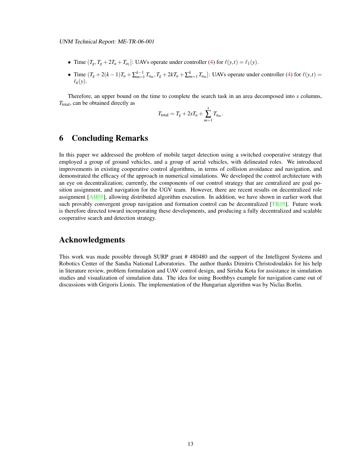- Time  $(T_g, T_g + 2T_a + T_{a_1}]$ : UAVs operate under controller [\(4\)](#page-8-0) for  $\ell(y,t) = \ell_1(y)$ .
- Time  $(T_g + 2(k-1)T_a + \sum_{m=1}^{k-1} T_{a_m}, T_g + 2kT_a + \sum_{m=1}^{k} T_{a_m}]$ : UAVs operate under controller [\(4\)](#page-8-0) for  $\ell(y,t)$  $\ell_k(\mathbf{v})$ .

Therefore, an upper bound on the time to complete the search task in an area decomposed into *s* columns, *T*total, can be obtained directly as

$$
T_{\text{total}} = T_g + 2sT_a + \sum_{m=1}^s T_{a_m}.
$$

# 6 Concluding Remarks

In this paper we addressed the problem of mobile target detection using a switched cooperative strategy that employed a group of ground vehicles, and a group of aerial vehicles, with delineated roles. We introduced improvements in existing cooperative control algorithms, in terms of collision avoidance and navigation, and demonstrated the efficacy of the approach in numerical simulations. We developed the control architecture with an eye on decentralization; currently, the components of our control strategy that are centralized are goal position assignment, and navigation for the UGV team. However, there are recent results on decentralized role assignment [\[AH05\]](#page-16-13), allowing distributed algorithm execution. In addition, we have shown in earlier work that such provably convergent group navigation and formation control can be decentralized [\[TK05\]](#page-18-9). Future work is therefore directed toward incorporating these developments, and producing a fully decentralized and scalable cooperative search and detection strategy.

# Acknowledgments

This work was made possible through SURP grant # 480480 and the support of the Intelligent Systems and Robotics Center of the Sandia National Laboratories. The author thanks Dimitris Christodoulakis for his help in literature review, problem formulation and UAV control design, and Sirisha Kota for assistance in simulation studies and visualization of simulation data. The idea for using Boothbys example for navigation came out of discussions with Grigoris Lionis. The implementation of the Hungarian algorithm was by Niclas Borlin.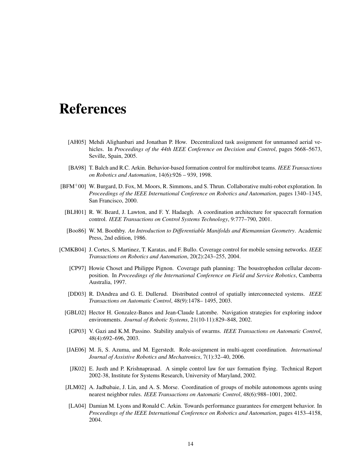# References

- <span id="page-16-13"></span>[AH05] Mehdi Alighanbari and Jonathan P. How. Decentralized task assignment for unmanned aerial vehicles. In *Proceedings of the 44th IEEE Conference on Decision and Control*, pages 5668–5673, Seville, Spain, 2005.
- <span id="page-16-0"></span>[BA98] T. Balch and R.C. Arkin. Behavior-based formation control for multirobot teams. *IEEE Transactions on Robotics and Automation*, 14(6):926 – 939, 1998.
- <span id="page-16-11"></span><span id="page-16-2"></span>[BFM+00] W. Burgard, D. Fox, M. Moors, R. Simmons, and S. Thrun. Collaborative multi-robot exploration. In *Proceedings of the IEEE International Conference on Robotics and Automation*, pages 1340–1345, San Francisco, 2000.
	- [BLH01] R. W. Beard, J. Lawton, and F. Y. Hadaegh. A coordination architecture for spacecraft formation control. *IEEE Transactions on Control Systems Technology*, 9:777–790, 2001.
	- [Boo86] W. M. Boothby. *An Introduction to Differentiable Manifolds and Riemannian Geometry*. Academic Press, 2nd edition, 1986.
- <span id="page-16-12"></span><span id="page-16-10"></span><span id="page-16-9"></span><span id="page-16-8"></span><span id="page-16-7"></span><span id="page-16-6"></span><span id="page-16-5"></span><span id="page-16-4"></span><span id="page-16-3"></span><span id="page-16-1"></span>[CMKB04] J. Cortes, S. Martinez, T. Karatas, and F. Bullo. Coverage control for mobile sensing networks. *IEEE Transactions on Robotics and Automation*, 20(2):243–255, 2004.
	- [CP97] Howie Choset and Philippe Pignon. Coverage path planning: The boustrophedon cellular decomposition. In *Proceedings of the International Conference on Field and Service Robotics*, Camberra Australia, 1997.
	- [DD03] R. DAndrea and G. E. Dullerud. Distributed control of spatially interconnected systems. *IEEE Transactions on Automatic Control*, 48(9):1478– 1495, 2003.
	- [GBL02] Hector H. Gonzalez-Banos and Jean-Claude Latombe. Navigation strategies for exploring indoor environments. *Journal of Robotic Systems*, 21(10-11):829–848, 2002.
	- [GP03] V. Gazi and K.M. Passino. Stability analysis of swarms. *IEEE Transactions on Automatic Control*, 48(4):692–696, 2003.
	- [JAE06] M. Ji, S. Azuma, and M. Egerstedt. Role-assignment in multi-agent coordination. *International Journal of Assistive Robotics and Mechatronics*, 7(1):32–40, 2006.
	- [JK02] E. Justh and P. Krishnaprasad. A simple control law for uav formation flying. Technical Report 2002-38, Institute for Systems Research, University of Maryland, 2002.
	- [JLM02] A. Jadbabaie, J. Lin, and A. S. Morse. Coordination of groups of mobile autonomous agents using nearest neighbor rules. *IEEE Transactions on Automatic Control*, 48(6):988–1001, 2002.
	- [LA04] Damian M. Lyons and Ronald C. Arkin. Towards performance guarantees for emergent behavior. In *Proceedings of the IEEE International Conference on Robotics and Automation*, pages 4153–4158, 2004.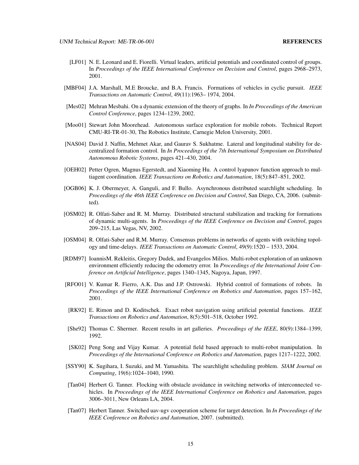- <span id="page-17-2"></span>[LF01] N. E. Leonard and E. Fiorelli. Virtual leaders, artificial potentials and coordinated control of groups. In *Proceedings of the IEEE International Conference on Decision and Control*, pages 2968–2973, 2001.
- <span id="page-17-4"></span>[MBF04] J.A. Marshall, M.E Broucke, and B.A. Francis. Formations of vehicles in cyclic pursuit. *IEEE Transactions on Automatic Control*, 49(11):1963– 1974, 2004.
- <span id="page-17-13"></span>[Mes02] Mehran Mesbahi. On a dynamic extension of the theory of graphs. In *In Proceedings of the American Control Conference*, pages 1234–1239, 2002.
- <span id="page-17-6"></span>[Moo01] Stewart John Moorehead. Autonomous surface exploration for mobile robots. Technical Report CMU-RI-TR-01-30, The Robotics Institute, Carnegie Melon University, 2001.
- <span id="page-17-12"></span>[NAS04] David J. Naffin, Mehmet Akar, and Gaurav S. Sukhatme. Lateral and longitudinal stability for decentralized formation control. In *In Proceedings of the 7th International Symposium on Distributed Autonomous Robotic Systems*, pages 421–430, 2004.
- <span id="page-17-0"></span>[OEH02] Petter Ogren, Magnus Egerstedt, and Xiaoming Hu. A control lyapunov function approach to multiagent coordination. *IEEE Transactions on Robotics and Automation*, 18(5):847–851, 2002.
- <span id="page-17-10"></span>[OGB06] K. J. Obermeyer, A. Ganguli, and F. Bullo. Asynchronous distributed searchlight scheduling. In *Proceedings of the 46th IEEE Conference on Decision and Control*, San Diego, CA, 2006. (submitted).
- <span id="page-17-1"></span>[OSM02] R. Olfati-Saber and R. M. Murray. Distributed structural stabilization and tracking for formations of dynamic multi-agents. In *Proceedings of the IEEE Conference on Decision and Control*, pages 209–215, Las Vegas, NV, 2002.
- <span id="page-17-3"></span>[OSM04] R. Olfati-Saber and R.M. Murray. Consensus problems in networks of agents with switching topology and time-delays. *IEEE Transactions on Automatic Control*, 49(9):1520 – 1533, 2004.
- <span id="page-17-7"></span>[RDM97] IoannisM. Rekleitis, Gregory Dudek, and Evangelos Milios. Multi-robot exploration of an unknown environment efficiently reducing the odometry error. In *Proceedings of the International Joint Conference on Artificial Intelligence*, pages 1340–1345, Nagoya, Japan, 1997.
- <span id="page-17-11"></span>[RFO01] V. Kumar R. Fierro, A.K. Das and J.P. Ostrowski. Hybrid control of formations of robots. In *Proceedings of the IEEE International Conference on Robotics and Automation*, pages 157–162, 2001.
- <span id="page-17-15"></span>[RK92] E. Rimon and D. Koditschek. Exact robot navigation using artificial potential functions. *IEEE Transactions on Robotics and Automation*, 8(5):501–518, October 1992.
- <span id="page-17-8"></span>[She92] Thomas C. Shermer. Recent results in art galleries. *Proceedings of the IEEE*, 80(9):1384–1399, 1992.
- <span id="page-17-14"></span>[SK02] Peng Song and Vijay Kumar. A potential field based approach to multi-robot manipulation. In *Proceedings of the International Conference on Robotics and Automation*, pages 1217–1222, 2002.
- <span id="page-17-9"></span>[SSY90] K. Sugihara, I. Suzuki, and M. Yamashita. The searchlight scheduling problem. *SIAM Journal on Computing*, 19(6):1024–1040, 1990.
- <span id="page-17-5"></span>[Tan04] Herbert G. Tanner. Flocking with obstacle avoidance in switching networks of interconnected vehicles. In *Proceedings of the IEEE International Conference on Robotics and Automation*, pages 3006–3011, New Orleans LA, 2004.
- <span id="page-17-16"></span>[Tan07] Herbert Tanner. Switched uav-ugv cooperation scheme for target detection. In *In Proceedings of the IEEE Conference on Robotics and Automation*, 2007. (submitted).